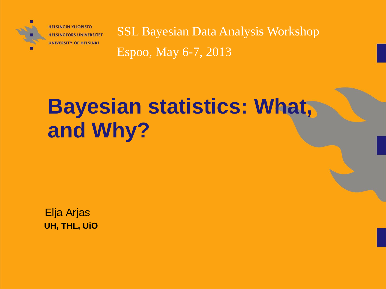

**HELSINGIN YLIOPISTO HELSINGFORS UNIVERSITET UNIVERSITY OF HELSINKI** 

SSL Bayesian Data Analysis Workshop Espoo, May 6-7, 2013

# **Bayesian statistics: What, and Why?**

Elja Arjas **UH, THL, UiO**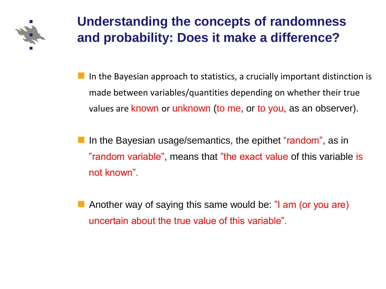

 In the Bayesian approach to statistics, a crucially important distinction is made between variables/quantities depending on whether their true values are known or unknown (to me, or to you, as an observer).

In the Bayesian usage/semantics, the epithet "random", as in "random variable", means that "the exact value of this variable is not known".

**Another way of saying this same would be: "I am (or you are)** uncertain about the true value of this variable".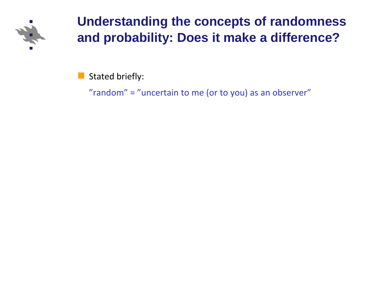

Stated briefly:

"random" = "uncertain to me (or to you) as an observer"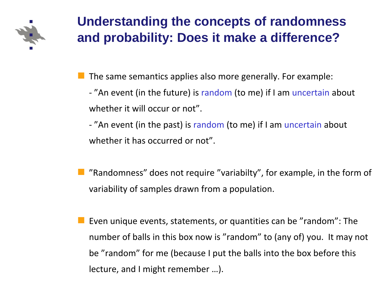

The same semantics applies also more generally. For example:

- "An event (in the future) is random (to me) if I am uncertain about whether it will occur or not".

- "An event (in the past) is random (to me) if I am uncertain about whether it has occurred or not".

 "Randomness" does not require "variabilty", for example, in the form of variability of samples drawn from a population.

 Even unique events, statements, or quantities can be "random": The number of balls in this box now is "random" to (any of) you. It may not be "random" for me (because I put the balls into the box before this lecture, and I might remember …).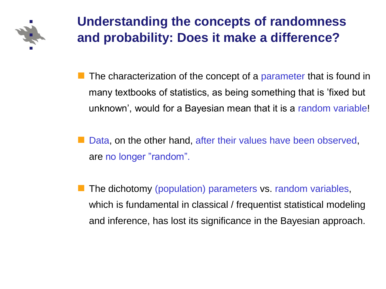

 The characterization of the concept of a parameter that is found in many textbooks of statistics, as being something that is 'fixed but unknown', would for a Bayesian mean that it is a random variable!

 Data, on the other hand, after their values have been observed, are no longer "random".

 The dichotomy (population) parameters vs. random variables, which is fundamental in classical / frequentist statistical modeling and inference, has lost its significance in the Bayesian approach.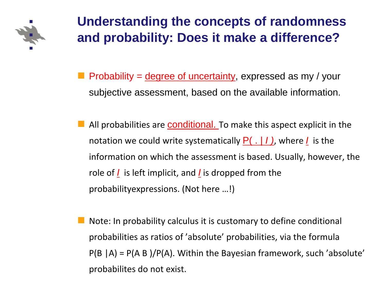

- Probability =  $degree of uncertainty$ , expressed as my / your subjective assessment, based on the available information.
- All probabilities are **conditional**. To make this aspect explicit in the notation we could write systematically P( . | *I )*, where *I* is the information on which the assessment is based. Usually, however, the role of *I* is left implicit, and *I* is dropped from the probabilityexpressions. (Not here …!)
- Note: In probability calculus it is customary to define conditional probabilities as ratios of 'absolute' probabilities, via the formula  $P(B | A) = P(A B)/P(A)$ . Within the Bayesian framework, such 'absolute' probabilites do not exist.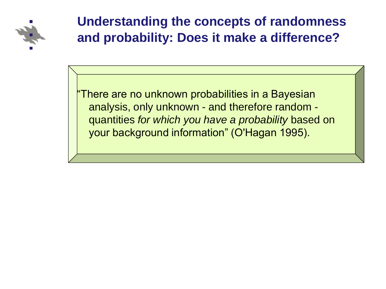

"There are no unknown probabilities in a Bayesian analysis, only unknown - and therefore random quantities *for which you have a probability* based on your background information" (O'Hagan 1995).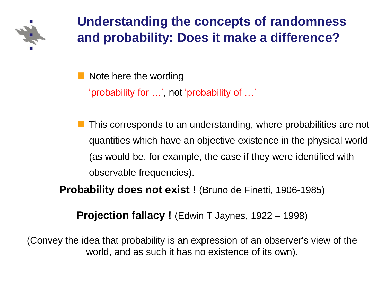

Note here the wording

'probability for …', not 'probability of …'

 This corresponds to an understanding, where probabilities are not quantities which have an objective existence in the physical world (as would be, for example, the case if they were identified with observable frequencies).

**Probability does not exist !** (Bruno de Finetti, 1906-1985)

**Projection fallacy !** (Edwin T Jaynes, 1922 – 1998)

(Convey the idea that probability is an expression of an observer's view of the world, and as such it has no existence of its own).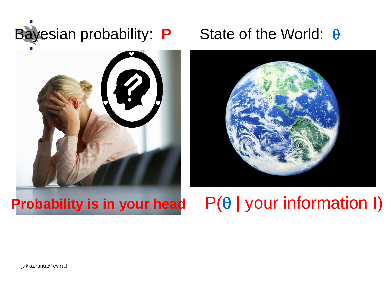

# 



# **Probability is in your head**  $P(\theta |$  your information **I**)

jukka.ranta@evira.fi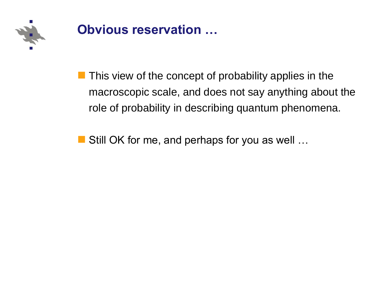

### **Obvious reservation …**

 $\blacksquare$  This view of the concept of probability applies in the macroscopic scale, and does not say anything about the role of probability in describing quantum phenomena.

■ Still OK for me, and perhaps for you as well ...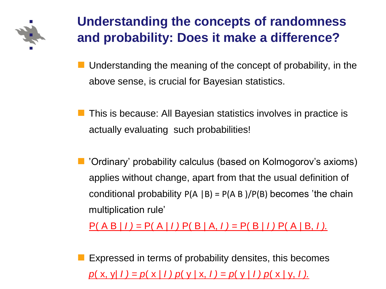

- Understanding the meaning of the concept of probability, in the above sense, is crucial for Bayesian statistics.
- **This is because: All Bayesian statistics involves in practice is** actually evaluating such probabilities!
- 'Ordinary' probability calculus (based on Kolmogorov's axioms) applies without change, apart from that the usual definition of conditional probability  $P(A | B) = P(A | B) / P(B)$  becomes 'the chain multiplication rule'

P( A B | *I ) =* P( A | *I )* P( B | A, *I ) =* P( B | *I )* P( A | B, *I ).*

 Expressed in terms of probability densites, this becomes *p*( x, y| *I ) = p*( x | *I ) p*( y | x, *I ) = p*( y | *I ) p*( x | y, *I ).*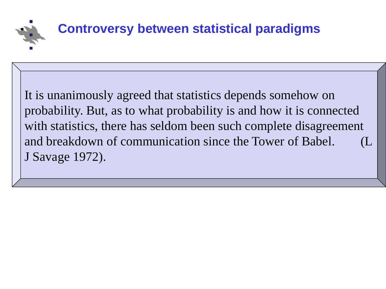

It is unanimously agreed that statistics depends somehow on probability. But, as to what probability is and how it is connected with statistics, there has seldom been such complete disagreement and breakdown of communication since the Tower of Babel. J Savage 1972).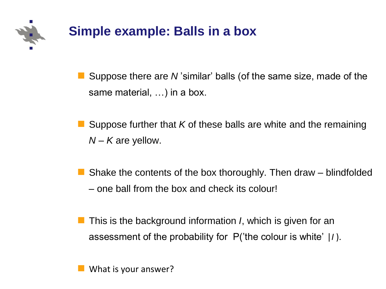

# **Simple example: Balls in a box**

■ Suppose there are *N* 'similar' balls (of the same size, made of the same material, …) in a box.

 Suppose further that *K* of these balls are white and the remaining *N – K* are yellow.

 Shake the contents of the box thoroughly. Then draw – blindfolded – one ball from the box and check its colour!

**This is the background information** *I***, which is given for an** assessment of the probability for P('the colour is white' |*I* ).

What is your answer?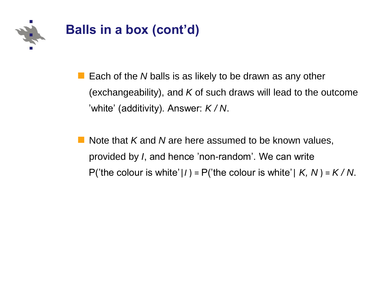

- Each of the *N* balls is as likely to be drawn as any other (exchangeability), and *K* of such draws will lead to the outcome 'white' (additivity). Answer: *K / N*.
- Note that *K* and *N* are here assumed to be known values, provided by *I*, and hence 'non-random'. We can write P('the colour is white'|*I*) = P('the colour is white'|  $K$ ,  $N$ ) =  $K/N$ .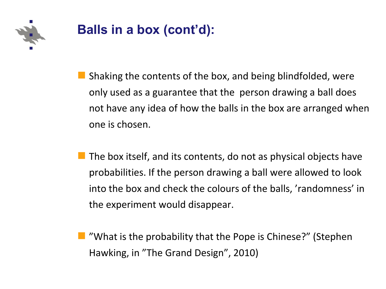

# **Balls in a box (cont'd):**

- Shaking the contents of the box, and being blindfolded, were only used as a guarantee that the person drawing a ball does not have any idea of how the balls in the box are arranged when one is chosen.
- The box itself, and its contents, do not as physical objects have probabilities. If the person drawing a ball were allowed to look into the box and check the colours of the balls, 'randomness' in the experiment would disappear.
- **What is the probability that the Pope is Chinese?" (Stephen** Hawking, in "The Grand Design", 2010)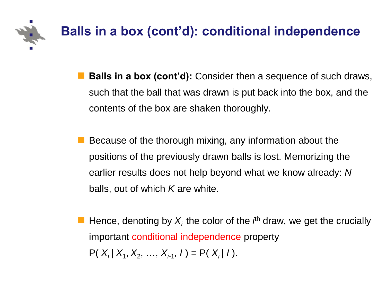

- **Balls in a box (cont'd):** Consider then a sequence of such draws, such that the ball that was drawn is put back into the box, and the contents of the box are shaken thoroughly.
- Because of the thorough mixing, any information about the positions of the previously drawn balls is lost. Memorizing the earlier results does not help beyond what we know already: *N* balls, out of which *K* are white.
- **Hence, denoting by**  $X_i$  **the color of the**  $i^h$  **draw, we get the crucially** important conditional independence property  $P(X_i | X_1, X_2, ..., X_{i-1}, I) = P(X_i | I).$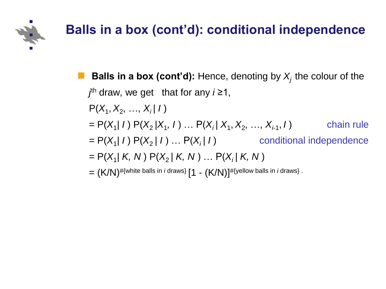

## **Balls in a box (cont'd): conditional independence**

**Balls in a box (cont'd):** Hence, denoting by  $X_i$  the colour of the *j* th draw, we get that for any *i* ≥1,  $P(X_1, X_2, ..., X_i | I)$  $= P(X_1 | I) P(X_2 | X_1, I) ... P(X_i | X_1, X_2, ..., X_{i-1})$ , *I* ) chain rule  $= P(X_1 | I) P(X_2 | I) ... P(X_i | I)$  conditional independence  $= P(X_1 | K, N) P(X_2 | K, N) ... P(X_i | K, N)$  $= (K/N)^{\# \{\text{white balls in } i \text{ draws}\}} [1 - (K/N)]^{\# \{\text{yellow balls in } i \text{ draws}\}}$ .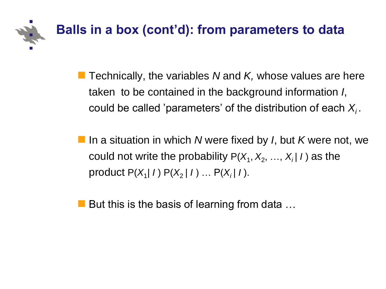

- **Technically, the variables N and K, whose values are here** taken to be contained in the background information *I*, could be called 'parameters' of the distribution of each *Xi .*
- In a situation in which *N* were fixed by *I*, but *K* were not, we could not write the probability  $P(X_1, X_2, ..., X_i | I)$  as the product P(*X*<sup>1</sup> *| I* ) P(*X*<sup>2</sup> *| I* ) … P(*Xi | I* ).
- But this is the basis of learning from data  $\dots$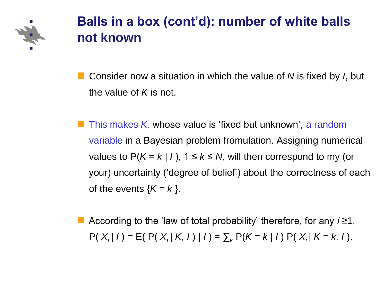

### **Balls in a box (cont'd): number of white balls not known**

 Consider now a situation in which the value of *N* is fixed by *I*, but the value of *K* is not.

 This makes *K,* whose value is 'fixed but unknown', a random variable in a Bayesian problem fromulation. Assigning numerical values to  $P(K = k / l)$ ,  $1 \le k \le N$ , will then correspond to my (or your) uncertainty ('degree of belief') about the correctness of each of the events  ${K = k}$ .

 According to the 'law of total probability' therefore, for any *i ≥*1,  $P(X_i | I) = E(P(X_i | K, I) | I) = \sum_k P(K = k | I) P(X_i | K = k, I).$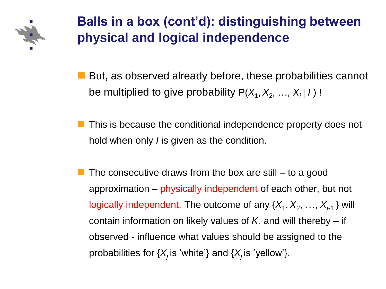

### **Balls in a box (cont'd): distinguishing between physical and logical independence**

But, as observed already before, these probabilities cannot be multiplied to give probability P( $X_1, X_2, ..., X_i | I$ ) !

- This is because the conditional independence property does not hold when only *I* is given as the condition.
- The consecutive draws from the box are still to a good approximation – physically independent of each other, but not logically independent. The outcome of any  $\{X_1, X_2, ..., X_{j-1}\}$  will contain information on likely values of *K,* and will thereby – if observed - influence what values should be assigned to the probabilities for  $\{X_i$  is 'white'} and  $\{X_i$  is 'yellow'}.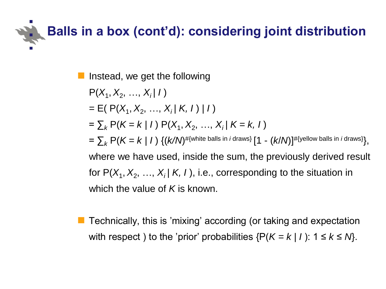# **Balls in a box (cont'd): considering joint distribution**

Instead, we get the following

 $P(X_1, X_2, ..., X_i | I)$  $=$  E( P( $X_1, X_2, ..., X_i | K, I | I$ )  $=\sum_{k} P(K = k | I) P(X_1, X_2, ..., X_i | K = k, I)$  $=\sum_{k} \mathsf{P}(K\!=\!k\mid\! I) \; \{(k\!/\!N)^{\# \{\text{white balls in } i \text{ draws}\}}[1-(k\!/\!N)]^{\# \{\text{yellow balls in } i \text{ draws}\}},$ where we have used, inside the sum, the previously derived result for  $P(X_1, X_2, ..., X_i | K, I)$ , i.e., corresponding to the situation in which the value of *K* is known.

■ Technically, this is 'mixing' according (or taking and expectation with respect ) to the 'prior' probabilities  $\{P(K = k | I): 1 \le k \le N\}$ .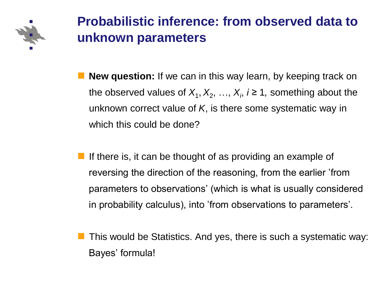

## **Probabilistic inference: from observed data to unknown parameters**

- **New question:** If we can in this way learn, by keeping track on the observed values of  $X_1, X_2, ..., X_i$ ,  $i \geq 1$ , something about the unknown correct value of *K*, is there some systematic way in which this could be done?
- If there is, it can be thought of as providing an example of reversing the direction of the reasoning, from the earlier 'from parameters to observations' (which is what is usually considered in probability calculus), into 'from observations to parameters'.
- This would be Statistics. And yes, there is such a systematic way: Bayes' formula!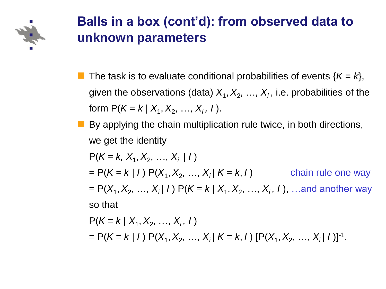

### **Balls in a box (cont'd): from observed data to unknown parameters**

- The task is to evaluate conditional probabilities of events  $\{K = k\}$ , given the observations (data)  $X_1, X_2, ..., X_i$ , i.e. probabilities of the form  $P(K = k | X_1, X_2, ..., X_i, I)$ .
- $\blacksquare$  By applying the chain multiplication rule twice, in both directions, we get the identity

 $P(K = k, X_1, X_2, ..., X_i | I)$  $= P(K = k | I) P(X_1, X_2, ..., X_i | K = k, I)$  chain rule one way  $= P(X_1, X_2, ..., X_i | I) P(K = k | X_1, X_2, ..., X_i, I),$  …and another way so that

$$
P(K = k | X_1, X_2, ..., X_i, I)
$$
  
= P(K = k | I) P(X<sub>1</sub>, X<sub>2</sub>, ..., X<sub>i</sub> | K = k, I) [P(X<sub>1</sub>, X<sub>2</sub>, ..., X<sub>i</sub> | I)]<sup>-1</sup>.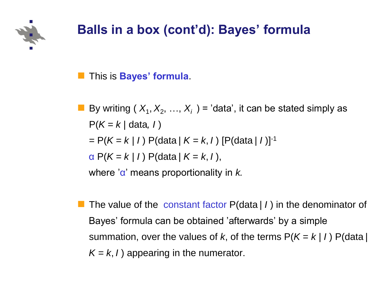

# **Balls in a box (cont'd): Bayes' formula**

This is **Bayes' formula**.

By writing  $(X_1, X_2, ..., X_i)$  = 'data', it can be stated simply as  $P(K = k / data, I)$  $= P(K = k / I) P(data / K = k, I) [P(data / I)]^{-1}$  $\alpha P(K = k / l) P(data / K = k, l),$ 

where 'α' means proportionality in *k.*

 The value of the constant factor P(data *| I* ) in the denominator of Bayes' formula can be obtained 'afterwards' by a simple summation, over the values of *k*, of the terms  $P(K = k / l) P(data / l)$  $K = k$ , *I*) appearing in the numerator.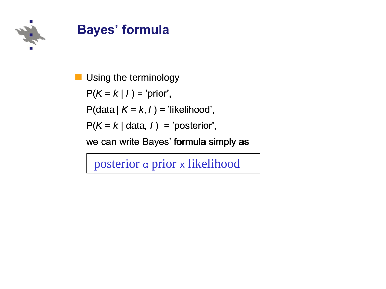

### **Bayes' formula**

Using the terminology

 $P(K = k / l) = 'prior',$ 

 $P(data / K = k, I) = 'likelihood',$ 

 $P(K = k | data, I) = 'posterior',$ 

we can write Bayes' formula simply as

posterior α prior x likelihood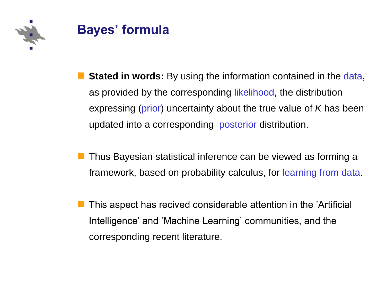



- **Stated in words:** By using the information contained in the data, as provided by the corresponding likelihood, the distribution expressing (prior) uncertainty about the true value of *K* has been updated into a corresponding posterior distribution.
- **Thus Bayesian statistical inference can be viewed as forming a** framework, based on probability calculus, for learning from data.
- This aspect has recived considerable attention in the 'Artificial Intelligence' and 'Machine Learning' communities, and the corresponding recent literature.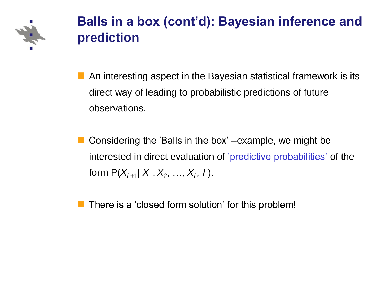

### **Balls in a box (cont'd): Bayesian inference and prediction**

- An interesting aspect in the Bayesian statistical framework is its direct way of leading to probabilistic predictions of future observations.
- Considering the 'Balls in the box' –example, we might be interested in direct evaluation of 'predictive probabilities' of the form  $P(X_{i+1} | X_1, X_2, ..., X_i, I)$ .
- There is a 'closed form solution' for this problem!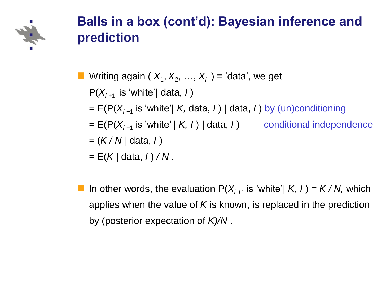

### **Balls in a box (cont'd): Bayesian inference and prediction**

- Writing again ( $X_1, X_2, ..., X_i$ ) = 'data', we get
	- $P(X_{i+1}$  is 'white'/ data, *I*)
	- $= E(P(X_{i+1} \text{ is 'white'}) K, \text{data}, I)$  / data, *I*) by (un)conditioning
	- $= E(P(X_{i+1} \text{ is 'white' } | K, I) | \text{data}, I)$  conditional independence

$$
= (K/N / \text{data}, 1)
$$

- = E(*K |* data, *I* ) */ N* .
- In other words, the evaluation  $P(X_{i+1}$  is 'white'/  $K$ ,  $I$ ) =  $K/N$ , which applies when the value of *K* is known, is replaced in the prediction by (posterior expectation of *K)/N* .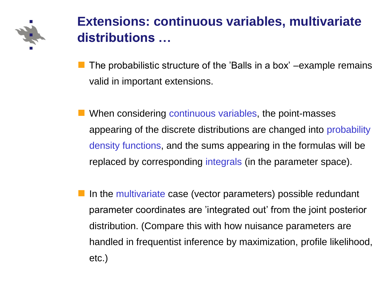

## **Extensions: continuous variables, multivariate distributions …**

- The probabilistic structure of the 'Balls in a box' –example remains valid in important extensions.
- When considering continuous variables, the point-masses appearing of the discrete distributions are changed into probability density functions, and the sums appearing in the formulas will be replaced by corresponding integrals (in the parameter space).
- In the multivariate case (vector parameters) possible redundant parameter coordinates are 'integrated out' from the joint posterior distribution. (Compare this with how nuisance parameters are handled in frequentist inference by maximization, profile likelihood, etc.)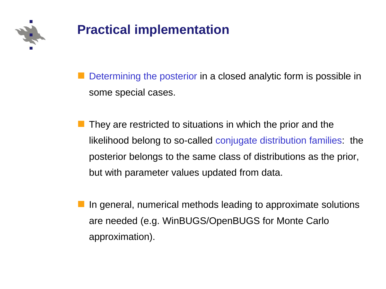

# **Practical implementation**

 Determining the posterior in a closed analytic form is possible in some special cases.

- They are restricted to situations in which the prior and the likelihood belong to so-called conjugate distribution families: the posterior belongs to the same class of distributions as the prior, but with parameter values updated from data.
- In general, numerical methods leading to approximate solutions are needed (e.g. WinBUGS/OpenBUGS for Monte Carlo approximation).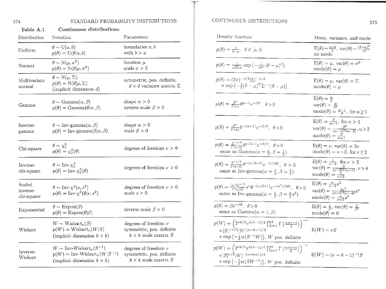574

### STANDARD PROBABILITY DISTRIBUTIONS

| Table A.1                        | Continuous distributions                                                                                                    |                                                                                       |
|----------------------------------|-----------------------------------------------------------------------------------------------------------------------------|---------------------------------------------------------------------------------------|
| Distribution                     | Notation                                                                                                                    | Parameters                                                                            |
| $\operatorname{Uniform}$         | $\theta \sim U(a,b)$<br>$p(\theta) = U(\theta a, b)$                                                                        | boundaries $a, b$<br>with $b > a$                                                     |
| Normal                           | $\theta \sim N(\mu, \sigma^2)$<br>$p(\theta) = \mathcal{N}(\theta   \mu, \sigma^2)$                                         | location $\mu$<br>scale $\sigma > 0$                                                  |
| Multivariate<br>normal           | $\theta \sim \mathcal{N}(\mu, \Sigma)$<br>$p(\theta) = \mathcal{N}(\theta   \mu, \Sigma)$<br>(implicit dimension $d$ )      | symmetric, pos. definite,<br>$d \times d$ variance matrix $\Sigma$                    |
| Gamma                            | $\theta \sim \text{Gamma}(\alpha, \beta)$<br>$p(\theta) = \text{Gamma}(\theta \alpha, \beta)$                               | shape $\alpha > 0$<br>inverse scale $\beta > 0$                                       |
| Inverse-<br>gamma                | $\theta \sim \text{Inv-gamma}(\alpha, \beta)$<br>$p(\theta) = Inv\text{-}\mathrm{gamma}(\theta \alpha, \beta)$              | shape $\alpha > 0$<br>scale $\beta > 0$                                               |
| Chi-square                       | $\theta \sim \chi^2_{\nu}$<br>$p(\theta) = \chi^2_{\nu}(\theta)$                                                            | degrees of freedom $\nu > 0$                                                          |
| Inverse-<br>chi-square           | $\theta \sim \text{Inv-}\chi^2_{\nu}$<br>$p(\theta) = \text{Inv-}\chi^2_{\nu}(\theta)$                                      | degrees of freedom $\nu > 0$                                                          |
| Scaled<br>inverse-<br>chi-square | $\theta \sim Inv-\chi^2(\nu, s^2)$<br>$p(\theta) = Inv-\chi^2(\theta \nu, s^2)$                                             | degrees of freedom $\nu > 0$<br>scale $s > 0$                                         |
| Exponential                      | $\theta \sim \text{Expon}(\beta)$<br>$p(\theta) = \text{Expon}(\theta \beta)$                                               | inverse scale $\beta > 0$                                                             |
| Wishart                          | $W \sim$ Wishart <sub><math>\nu(S)</math></sub><br>$p(W) = \text{Wishart}_{\nu}(W S)$<br>(implicit dimension $k \times k$ ) | degrees of freedom $\nu$<br>symmetric, pos. definite<br>$k \times k$ scale matrix $S$ |
| Inverse-<br>Wishart              | $W \sim \text{Inv-Wishart}_{\nu}(S^{-1})$<br>$p(W) = Inv-Wishart_{\nu}(W S^{-1})$<br>(implicit dimension $k \times k$ )     | degrees of freedom $\nu$<br>symmetric, pos. definite<br>$k \times k$ scale matrix $S$ |
|                                  |                                                                                                                             |                                                                                       |

### CONTINUOUS DISTRIBUTIONS

| Density function                                                                                                                                                                                                                 | Mean, variance, and mode                                                                                                                                                          |
|----------------------------------------------------------------------------------------------------------------------------------------------------------------------------------------------------------------------------------|-----------------------------------------------------------------------------------------------------------------------------------------------------------------------------------|
| $p(\theta) = \frac{1}{b-a}, \ \theta \in [a, b]$                                                                                                                                                                                 | $E(\theta) = \frac{a+b}{2}$ , $var(\theta) = \frac{(b-a)^2}{12}$<br>no mode                                                                                                       |
| $p(\theta) = \frac{1}{\sqrt{2\pi\pi}} \exp\left(-\frac{1}{2\sigma^2}(\theta - \mu)^2\right)$                                                                                                                                     | $E(\theta) = \mu$ , var $(\theta) = \sigma^2$<br>$mode(\theta) = \mu$                                                                                                             |
| $p(\theta) = (2\pi)^{-d/2}  \Sigma ^{-1/2}$<br>$\times$ exp $\left(-\frac{1}{2}(\theta-\mu)^T\Sigma^{-1}(\theta-\mu)\right)$                                                                                                     | $E(\theta) = \mu$ , var $(\theta) = \Sigma$<br>$mode(\theta) = \mu$                                                                                                               |
| $p(\theta) = \frac{\beta^{\alpha}}{\Gamma(\alpha)} \theta^{\alpha-1} e^{-\beta \theta}, \ \ \theta > 0$                                                                                                                          | $E(\theta) = \frac{\alpha}{\beta}$<br>$var(\theta) = \frac{\alpha}{\beta^2}$<br>$\text{mode}(\theta) = \frac{\alpha - 1}{\beta}$ , for $\alpha \ge 1$                             |
| $p(\theta) = \frac{\beta^{\alpha}}{\Gamma(\alpha)} \theta^{-(\alpha+1)} e^{-\beta/\theta}, \ \ \theta > 0$                                                                                                                       | $E(\theta) = \frac{\beta}{\alpha - 1}$ , for $\alpha > 1$<br>$var(\theta) = \frac{\beta^2}{(\alpha-1)^2(\alpha-2)}, \alpha > 2$<br>$\text{mode}(\theta) = \frac{\beta}{\alpha+1}$ |
| $p(\theta) = \frac{2^{-\nu/2}}{\Gamma(\nu/2)} \theta^{\nu/2 - 1} e^{-\theta/2}, \ \ \theta > 0$<br>same as $Gamma(\alpha = \frac{\nu}{2}, \beta = \frac{1}{2})$                                                                  | $E(\theta) = \nu$ , $var(\theta) = 2\nu$<br>$mode(\theta) = \nu - 2$ , for $\nu \ge 2$                                                                                            |
| $p(\theta) = \frac{2^{-\nu/2}}{\Gamma(\nu/2)} \theta^{-(\nu/2+1)} e^{-1/(2\theta)}, \ \ \theta > 0$<br>same as Inv-gamma $(\alpha = \frac{\nu}{2}, \beta = \frac{1}{2})$                                                         | $E(\theta) = \frac{1}{\nu - 2}$ , for $\nu > 2$<br>var( $\theta$ ) = $\frac{2}{(\nu - 2)^2 (\nu - 4)}$ , $\nu > 4$<br>mode( $\theta$ ) = $\frac{1}{\nu + 2}$                      |
| $p(\theta) = \frac{(\nu/2)^{\nu/2}}{\Gamma(\nu/2)} s^{\nu} \theta^{-(\nu/2+1)} e^{-\nu s^2/(2\theta)}, \ \ \theta > 0$<br>same as Inv-gamma $(\alpha = \frac{\nu}{2}, \beta = \frac{\nu}{2}s^2)$                                 | $E(\theta) = \frac{\nu}{\nu-2} s^2$<br>$\text{var}(\theta) = \frac{2\nu^2}{(\nu-2)^2(\nu-4)}s^4$<br>$mode(\theta) = \frac{\nu}{\nu+2} s^2$                                        |
| $p(\theta) = \beta e^{-\beta \theta}, \ \theta > 0$<br>same as $Gamma(\alpha = 1, \beta)$                                                                                                                                        | $E(\theta) = \frac{1}{\beta}$ , var $(\theta) = \frac{1}{\beta^2}$<br>$mode(\theta) = 0$                                                                                          |
| $p(W) = \left(2^{\nu k/2} \pi^{k(k-1)/4} \prod_{i=1}^k \Gamma\left(\frac{\nu+1-i}{2}\right)\right)^{-1}$<br>$\times  S ^{-\nu/2} W ^{(\nu-k-1)/2}$<br>$\times \exp\left(-\frac{1}{2}\text{tr}(S^{-1}W)\right)$ , W pos. definite | $E(W) = \nu S$                                                                                                                                                                    |
| $p(W) = \left(2^{\nu k/2} \pi^{k(k-1)/4} \prod_{i=1}^k \Gamma\left(\frac{\nu+1-i}{2}\right)\right)^{-1}$<br>$\times  S ^{\nu/2} W ^{-(\nu+k+1)/2}$<br>$\times \exp\left(-\frac{1}{2}\text{tr}(SW^{-1})\right)$ , W pos. definite | $E(W) = (\nu - k - 1)^{-1}S$                                                                                                                                                      |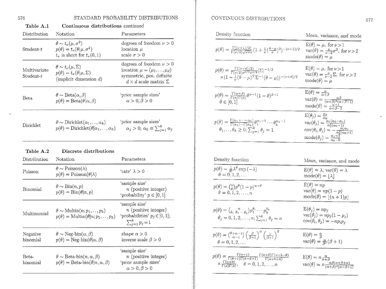### 576

 $\epsilon$ 

### STANDARD PROBABILITY DISTRIBUTIONS

| Notation                                                                                                                       | Parameters                                                                                                                                |
|--------------------------------------------------------------------------------------------------------------------------------|-------------------------------------------------------------------------------------------------------------------------------------------|
| $\theta \sim t_{\nu}(\mu, \sigma^2)$<br>$p(\theta) = t_{\nu}(\theta   \mu, \sigma^2)$<br>$t_{\nu}$ is short for $t_{\nu}(0,1)$ | degrees of freedom $\nu > 0$<br>$location \mu$<br>scale $\sigma > 0$                                                                      |
| $\theta \sim t_{\nu}(\mu, \Sigma)$<br>$p(\theta) = t_{\nu}(\theta   \mu, \Sigma)$<br>(implicit dimension $d$ )                 | degrees of freedom $\nu > 0$<br>location $\mu = (\mu_1, \ldots, \mu_d)$<br>symmetric, pos. definite<br>$d \times d$ scale matrix $\Sigma$ |
| $\theta \sim \text{Beta}(\alpha, \beta)$<br>$p(\theta) = \text{Beta}(\theta   \alpha, \beta)$                                  | 'prior sample sizes'<br>$\alpha > 0, \beta > 0$                                                                                           |
| $\theta \sim \text{Dirichlet}(\alpha_1, \ldots, \alpha_k)$<br>$p(\theta) = \text{Dirichlet}(\theta \alpha_1,\ldots,\alpha_k)$  | 'prior sample sizes'<br>$\alpha_j > 0$ ; $\alpha_0 \equiv \sum_{i=1}^k \alpha_i$                                                          |
| Discrete distributions                                                                                                         |                                                                                                                                           |
| Notation                                                                                                                       | Parameters                                                                                                                                |
| $\theta \sim \text{Poisson}(\lambda)$<br>$p(\theta) = \text{Poisson}(\theta \lambda)$                                          | $\text{`rate'} \lambda > 0$                                                                                                               |
| $\theta \sim \text{Bin}(n, p)$<br>$p(\theta) = \text{Bin}(\theta   n, p)$                                                      | 'sample size'<br>$n$ (positive integer)<br>'probability' $p \in [0,1]$                                                                    |
| $\theta \sim \text{Multin}(n; p_1, \ldots, p_k)$<br>$p(\theta) = \text{Multin}(\theta   n; p_1, \ldots, p_k)$                  | 'sample size'<br>$n$ (positive integer)<br>'probabilities' $p_j \in [0, 1]$ ;<br>$\sum_{i=1}^{k} p_i = 1$                                 |
| $\theta \sim \text{Neg-bin}(\alpha, \beta)$<br>$p(\theta) = \text{Neg-bin}(\theta \alpha, \beta)$                              | shape $\alpha > 0$<br>inverse scale $\beta > 0$                                                                                           |
| $\theta \sim \text{Beta-bin}(n, \alpha, \beta)$                                                                                | 'sample size'<br>$n$ (positive integer)                                                                                                   |
|                                                                                                                                |                                                                                                                                           |

### Table A 1 Continuous distributions continued

### CONTINUOUS DISTRIBUTIONS

| Density function                                                                                                                                                                                                                                                          | Mean, variance, and mode                                                                                                                                                                                                                                                                                 |
|---------------------------------------------------------------------------------------------------------------------------------------------------------------------------------------------------------------------------------------------------------------------------|----------------------------------------------------------------------------------------------------------------------------------------------------------------------------------------------------------------------------------------------------------------------------------------------------------|
| $p(\theta) = \frac{\Gamma((\nu+1)/2)}{\Gamma(\nu/2)\sqrt{\nu\pi}\sigma}(1+\frac{1}{\nu}(\frac{\theta-\mu}{\sigma})^2)^{-(\nu+1)/2}$                                                                                                                                       | $E(\theta) = \mu$ , for $\nu > 1$<br>$\text{var}(\theta) = \frac{\nu}{\nu - 2}\sigma^2$ , for $\nu > 2$<br>$mode(\theta) = \mu$                                                                                                                                                                          |
| $p(\theta) = \frac{\Gamma((\nu+d)/2)}{\Gamma(\nu/2)\nu^{d/2}\pi^{d/2}}  \Sigma ^{-1/2}$<br>$\times (1 + \frac{1}{\nu}(\theta - \mu)^{T} \Sigma^{-1}(\theta - \mu))^{-(\nu + d)/2}$                                                                                        | $E(\theta) = \mu$ , for $\nu > 1$<br>$\text{var}(\theta) = \frac{\nu}{\nu - 2} \Sigma$ , for $\nu > 2$<br>$\text{mode}(\theta) = \mu$                                                                                                                                                                    |
| $p(\theta) = \frac{\Gamma(\alpha+\beta)}{\Gamma(\alpha)\Gamma(\beta)} \theta^{\alpha-1} (1-\theta)^{\beta-1}$<br>$\theta \in [0,1]$                                                                                                                                       | $\mathrm{E}(\theta)=\frac{\alpha}{\alpha+\beta}$<br>$\text{var}(\theta) = \frac{\alpha\beta}{(\alpha+\beta)^2(\alpha+\beta+1)}$ mode<br>( $\theta$ ) = $\frac{\alpha-1}{\alpha+\beta-2}$                                                                                                                 |
| $p(\theta) = \frac{\Gamma(\alpha_1 + \cdots + \alpha_k)}{\Gamma(\alpha_1) \cdots \Gamma(\alpha_k)} \theta_1^{\alpha_1 - 1} \cdots \theta_k^{\alpha_k - 1}$<br>$\theta_1,\ldots,\theta_k\geq 0; \sum_{i=1}^k \theta_i=1$                                                   | $E(\theta_j) = \frac{\alpha_j}{\alpha_0}$<br>$\begin{array}{l} \text{var}(\theta_j) = \frac{\alpha_0}{\alpha_0^2(\alpha_0 - \alpha_j)} \\ \text{cov}(\theta_i, \theta_j) = -\frac{\alpha_i \alpha_j}{\alpha_0^2(\alpha_0 + 1)} \\ \text{mode}(\theta_j) = \frac{\alpha_j - 1}{\alpha_0 - k} \end{array}$ |
|                                                                                                                                                                                                                                                                           |                                                                                                                                                                                                                                                                                                          |
| Density function                                                                                                                                                                                                                                                          | Mean, variance, and mode                                                                                                                                                                                                                                                                                 |
| $p(\theta) = \frac{1}{\theta!} \lambda^{\theta} \exp(-\lambda)$<br>$\theta = 0, 1, 2, \ldots$                                                                                                                                                                             | $E(\theta) = \lambda$ , var $(\theta) = \lambda$<br>$\text{mode}(\theta) =  \lambda $                                                                                                                                                                                                                    |
| $p(\theta) = {n \choose \theta} p^{\theta} (1-p)^{n-\theta}$<br>$\theta = 0, 1, 2, \ldots, n$                                                                                                                                                                             | $E(\theta) = np$<br>$var(\theta) = np(1-p)$<br>$\text{mode}(\theta) = \lfloor (n+1)p \rfloor$                                                                                                                                                                                                            |
| $p(\theta) = {n \choose \theta_1, \theta_2, \dots, \theta_k} p_1^{\theta_1} \dots p_k^{\theta_k}$<br>$\theta_j = 0, 1, 2, \ldots, n; \sum_{i=1}^k \theta_i = n$                                                                                                           | $E(\theta_i) = np_i$<br>$var(\theta_i) = np_i(1-p_i)$<br>$cov(\theta_i, \theta_j) = -np_i p_j$                                                                                                                                                                                                           |
| $p(\theta) = \left(\begin{smallmatrix} \theta+\alpha-1\ \alpha-1 \end{smallmatrix}\right) \left(\begin{smallmatrix} \beta \ \beta+1 \end{smallmatrix}\right)^\alpha \left(\begin{smallmatrix} 1 \ \alpha+1 \end{smallmatrix}\right)^\theta$<br>$\theta = 0, 1, 2, \ldots$ | $E(\theta) = \frac{\alpha}{\beta}$<br>$\text{var}(\theta) = \frac{\alpha}{\beta^2}(\beta + 1)$                                                                                                                                                                                                           |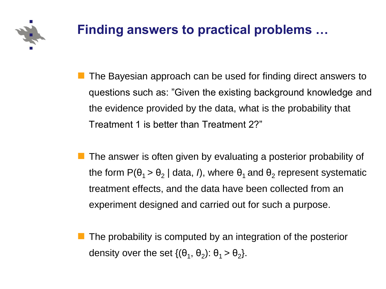

 The Bayesian approach can be used for finding direct answers to questions such as: "Given the existing background knowledge and the evidence provided by the data, what is the probability that Treatment 1 is better than Treatment 2?"

- The answer is often given by evaluating a posterior probability of the form P( $θ$ <sub>1</sub> >  $θ$ <sub>2</sub> | data, *I*), where  $θ$ <sub>1</sub> and  $θ$ <sub>2</sub> represent systematic treatment effects, and the data have been collected from an experiment designed and carried out for such a purpose.
- The probability is computed by an integration of the posterior density over the set  $\{(\theta_1, \theta_2): \theta_1 > \theta_2\}.$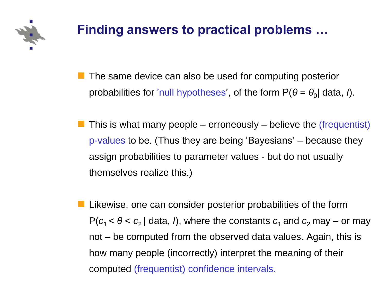

- The same device can also be used for computing posterior probabilities for 'null hypotheses', of the form P( $θ = θ<sub>0</sub>$ ) data, *I*).
- This is what many people erroneously believe the (frequentist) p-values to be. (Thus they are being 'Bayesians' – because they assign probabilities to parameter values - but do not usually themselves realize this.)
- Likewise, one can consider posterior probabilities of the form  $P(c_1 < \theta < c_2 |$  data, *I*), where the constants  $c_1$  and  $c_2$  may – or may not – be computed from the observed data values. Again, this is how many people (incorrectly) interpret the meaning of their computed (frequentist) confidence intervals.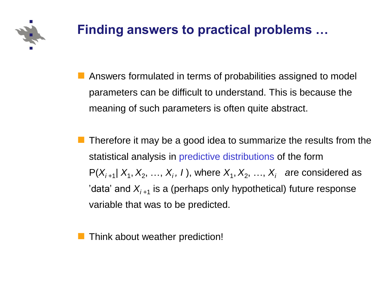

- Answers formulated in terms of probabilities assigned to model parameters can be difficult to understand. This is because the meaning of such parameters is often quite abstract.
- Therefore it may be a good idea to summarize the results from the statistical analysis in predictive distributions of the form  $P(X_{i+1} | X_1, X_2, \ldots, X_i, I)$ , where  $X_1, X_2, \ldots, X_i$  are considered as 'data' and  $X_{i+1}$  is a (perhaps only hypothetical) future response variable that was to be predicted.

Think about weather prediction!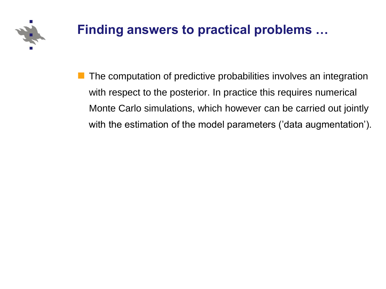

 The computation of predictive probabilities involves an integration with respect to the posterior. In practice this requires numerical Monte Carlo simulations, which however can be carried out jointly with the estimation of the model parameters ('data augmentation').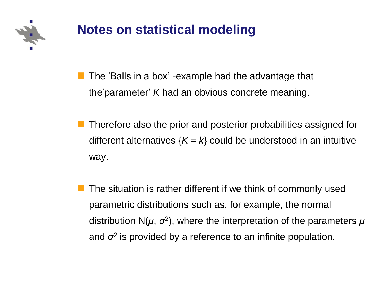

### **Notes on statistical modeling**

 The 'Balls in a box' -example had the advantage that the'parameter' *K* had an obvious concrete meaning.

- Therefore also the prior and posterior probabilities assigned for different alternatives  ${K = k}$  could be understood in an intuitive way.
- The situation is rather different if we think of commonly used parametric distributions such as, for example, the normal distribution N(*μ*, *σ*<sup>2</sup> ), where the interpretation of the parameters *μ* and *σ*<sup>2</sup> is provided by a reference to an infinite population.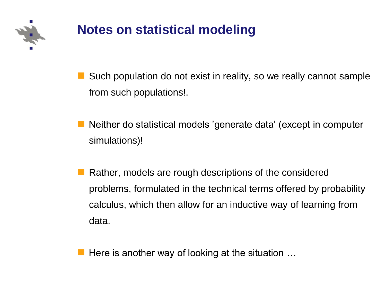

# **Notes on statistical modeling**

■ Such population do not exist in reality, so we really cannot sample from such populations!.

- Neither do statistical models 'generate data' (except in computer simulations)!
- Rather, models are rough descriptions of the considered problems, formulated in the technical terms offered by probability calculus, which then allow for an inductive way of learning from data.

**Here is another way of looking at the situation ...**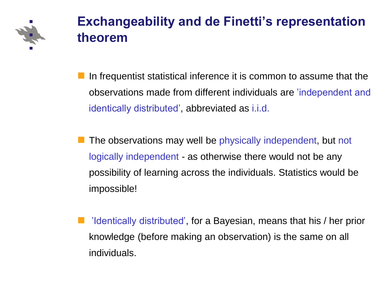

 In frequentist statistical inference it is common to assume that the observations made from different individuals are 'independent and identically distributed', abbreviated as i.i.d.

- The observations may well be physically independent, but not logically independent - as otherwise there would not be any possibility of learning across the individuals. Statistics would be impossible!
- 'Identically distributed', for a Bayesian, means that his / her prior knowledge (before making an observation) is the same on all individuals.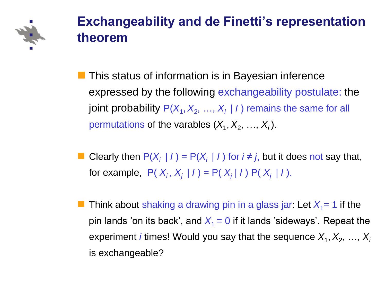

- **This status of information is in Bayesian inference** expressed by the following exchangeability postulate: the joint probability  $P(X_1, X_2, ..., X_i | I)$  remains the same for all permutations of the varables  $(X_1, X_2, ..., X_i)$ .
- Clearly then  $P(X_i | I) = P(X_i | I)$  for  $i \neq j$ , but it does not say that, for example,  $P(X_i, X_j | I) = P(X_j | I) P(X_j | I)$ .
- Think about shaking a drawing pin in a glass jar: Let  $X_1 = 1$  if the pin lands 'on its back', and  $X_1 = 0$  if it lands 'sideways'. Repeat the experiment *i* times! Would you say that the sequence  $X_1, X_2, ..., X_i$ is exchangeable?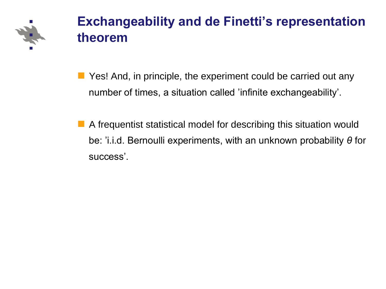

- **Panable 2 September 10 September 10 September 2018** Most 2016 and 2019 Most 2019 Most 2019 Most 2019 Most 2019 Mo number of times, a situation called 'infinite exchangeability'.
- A frequentist statistical model for describing this situation would be: 'i.i.d. Bernoulli experiments, with an unknown probability *θ* for success'.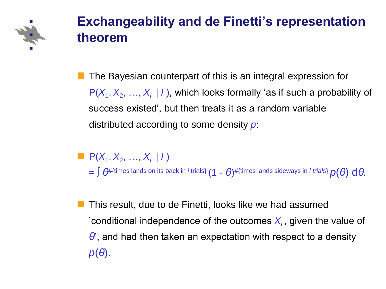

 The Bayesian counterpart of this is an integral expression for  $P(X_1, X_2, ..., X_i | I)$ , which looks formally 'as if such a probability of success existed', but then treats it as a random variable distributed according to some density *p*:

 $P(X_1, X_2, ..., X_i | I)$  $=$   $\int \theta^{\#}$ {times lands on its back in *i* trials}  $(1$  -  $\theta)$ #{times lands sideways in *i trials*}  $p(\theta)$   $\mathrm{d}\theta.$ 

 This result, due to de Finetti, looks like we had assumed 'conditional independence of the outcomes  $X_i$ , given the value of *θ*', and had then taken an expectation with respect to a density *p*(*θ*).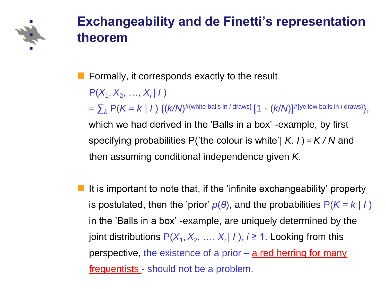

 $\blacksquare$  Formally, it corresponds exactly to the result  $P(X_1, X_2, ..., X_i | I)$  $=\sum_{k} \text{P}(K=k\mid I) \{ (k/N)^{\# \{\text{white balls in } i \text{ draws}\}} [1 - (k/N)]^{\# \{\text{yellow balls in } i \text{ draws}\}} \},$ which we had derived in the 'Balls in a box' -example, by first specifying probabilities P('the colour is white'| *K, I* ) = *K / N* and then assuming conditional independence given *K*.

 It is important to note that, if the 'infinite exchangeability' property is postulated, then the 'prior'  $p(\theta)$ , and the probabilities  $P(K = k | I)$ in the 'Balls in a box' -example, are uniquely determined by the joint distributions  $P(X_1, X_2, ..., X_i | I)$ ,  $i \ge 1$ . Looking from this perspective, the existence of a prior  $-\underline{a}$  red herring for many frequentists - should not be a problem.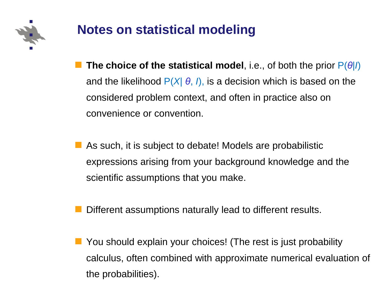

# **Notes on statistical modeling**

- **The choice of the statistical model**, i.e., of both the prior P(*θ*|*I*) and the likelihood  $P(X|\theta, I)$ , is a decision which is based on the considered problem context, and often in practice also on convenience or convention.
- As such, it is subject to debate! Models are probabilistic expressions arising from your background knowledge and the scientific assumptions that you make.
- Different assumptions naturally lead to different results.
- **Nou should explain your choices!** (The rest is just probability calculus, often combined with approximate numerical evaluation of the probabilities).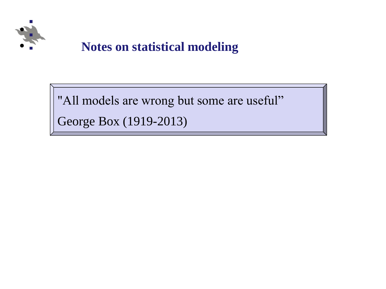

### • **Notes on statistical modeling**

"All models are wrong but some are useful"

George Box (1919-2013)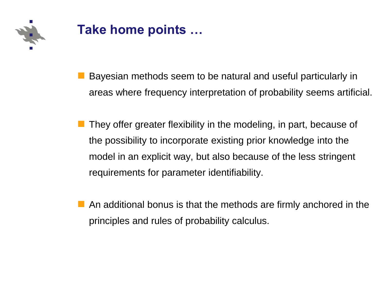

### **Take home points …**

- **Bayesian methods seem to be natural and useful particularly in** areas where frequency interpretation of probability seems artificial.
- They offer greater flexibility in the modeling, in part, because of the possibility to incorporate existing prior knowledge into the model in an explicit way, but also because of the less stringent requirements for parameter identifiability.
- An additional bonus is that the methods are firmly anchored in the principles and rules of probability calculus.